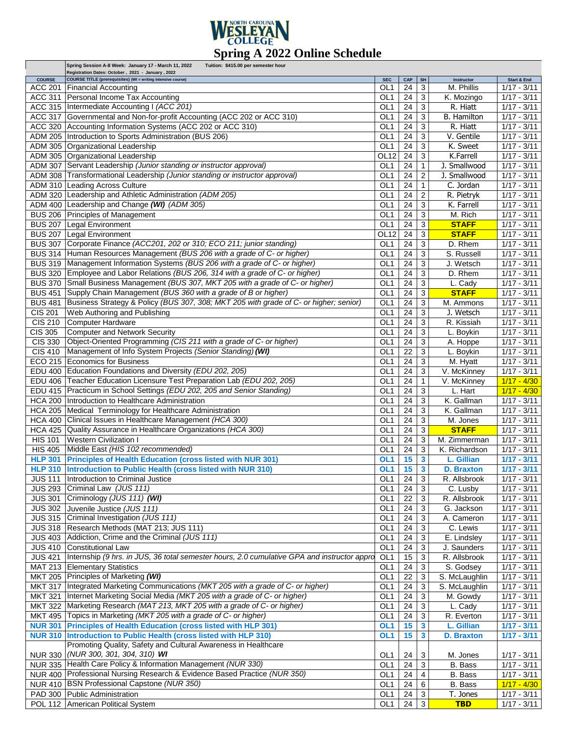

|                                  | Spring Session A-8 Week: January 17 - March 11, 2022<br>Tuition: \$415.00 per semester hour                              |                                    |          |                     |                          |                                |
|----------------------------------|--------------------------------------------------------------------------------------------------------------------------|------------------------------------|----------|---------------------|--------------------------|--------------------------------|
| <b>COURSE</b>                    | Registration Dates: October, 2021 - January, 2022<br><b>COURSE TITLE (prerequisites) (WI = writing intensive course)</b> | <b>SEC</b>                         | CAP      | SH                  | Instructor               | Start & End                    |
| <b>ACC 201</b>                   | <b>Financial Accounting</b>                                                                                              | OL <sub>1</sub>                    | 24       | 3                   | M. Phillis               | $1/17 - 3/11$                  |
| ACC 311                          | Personal Income Tax Accounting                                                                                           | OL <sub>1</sub>                    | 24       | 3                   | K. Mozingo               | $1/17 - 3/11$                  |
|                                  | ACC 315   Intermediate Accounting I (ACC 201)                                                                            | OL <sub>1</sub>                    | 24       | 3                   | R. Hiatt                 | $1/17 - 3/11$                  |
|                                  | ACC 317 Governmental and Non-for-profit Accounting (ACC 202 or ACC 310)                                                  | OL <sub>1</sub>                    | 24       | 3                   | B. Hamilton              | $1/17 - 3/11$                  |
|                                  | ACC 320 Accounting Information Systems (ACC 202 or ACC 310)                                                              | OL <sub>1</sub>                    | 24       | 3                   | R. Hiatt                 | $1/17 - 3/11$                  |
| <b>ADM 205</b>                   | Introduction to Sports Administration (BUS 206)                                                                          | OL <sub>1</sub>                    | 24       | 3                   | V. Gentile               | $1/17 - 3/11$                  |
|                                  | ADM 305 Organizational Leadership                                                                                        | OL <sub>1</sub>                    | 24       | 3                   | K. Sweet                 | $1/17 - 3/11$                  |
|                                  | ADM 305 Organizational Leadership                                                                                        | OL12                               | 24       | 3                   | K.Farrell                | $1/17 - 3/11$                  |
|                                  | ADM 307 Servant Leadership (Junior standing or instructor approval)                                                      | OL <sub>1</sub>                    | 24       | 1                   | J. Smallwood             | $1/17 - 3/11$                  |
|                                  | ADM 308 Transformational Leadership (Junior standing or instructor approval)                                             | OL <sub>1</sub>                    | 24       | 2                   | J. Smallwood             | $1/17 - 3/11$                  |
|                                  | ADM 310 Leading Across Culture                                                                                           | OL <sub>1</sub>                    | 24       | 1                   | $\overline{C}$ . Jordan  | $1/17 - 3/11$                  |
|                                  | ADM 320 Leadership and Athletic Administration (ADM 205)                                                                 |                                    |          |                     | R. Pietryk               |                                |
|                                  | ADM 400 Leadership and Change (WI) (ADM 305)                                                                             | OL <sub>1</sub><br>OL <sub>1</sub> | 24<br>24 | $\overline{c}$<br>3 | K. Farrell               | $1/17 - 3/11$<br>$1/17 - 3/11$ |
|                                  |                                                                                                                          |                                    |          |                     |                          |                                |
|                                  | BUS 206 Principles of Management                                                                                         | OL <sub>1</sub>                    | 24       | 3                   | M. Rich                  | $1/17 - 3/11$                  |
| <b>BUS 207</b>                   | Legal Environment                                                                                                        | OL <sub>1</sub>                    | 24       | 3                   | <b>STAFF</b>             | $1/17 - 3/11$                  |
| <b>BUS 207</b>                   | Legal Environment                                                                                                        | OL12                               | 24       | 3                   | <b>STAFF</b>             | $1/17 - 3/11$                  |
| <b>BUS 307</b>                   | Corporate Finance (ACC201, 202 or 310; ECO 211; junior standing)                                                         | OL <sub>1</sub>                    | 24       | 3                   | D. Rhem                  | $1/17 - 3/11$                  |
| <b>BUS 314</b>                   | Human Resources Management (BUS 206 with a grade of C- or higher)                                                        | OL <sub>1</sub>                    | 24       | 3                   | S. Russell               | $1/17 - 3/11$                  |
| <b>BUS 319</b>                   | Management Information Systems (BUS 206 with a grade of C- or higher)                                                    | OL <sub>1</sub>                    | 24       | 3                   | J. Wetsch                | $1/17 - 3/11$                  |
|                                  | BUS 320 Employee and Labor Relations (BUS 206, 314 with a grade of C- or higher)                                         | OL <sub>1</sub>                    | 24       | 3                   | D. Rhem                  | $1/17 - 3/11$                  |
| <b>BUS 370</b>                   | Small Business Management (BUS 307, MKT 205 with a grade of C- or higher)                                                | OL <sub>1</sub>                    | 24       | 3                   | L. Cady                  | $1/17 - 3/11$                  |
| <b>BUS 451</b>                   | Supply Chain Management (BUS 360 with a grade of B or higher)                                                            | OL <sub>1</sub>                    | 24       | 3                   | <b>STAFF</b>             | $1/17 - 3/11$                  |
| <b>BUS 481</b>                   | Business Strategy & Policy (BUS 307, 308; MKT 205 with grade of C- or higher; senior)                                    | OL <sub>1</sub>                    | 24       | 3                   | M. Ammons                | $1/17 - 3/11$                  |
| <b>CIS 201</b>                   | Web Authoring and Publishing                                                                                             | OL <sub>1</sub>                    | 24       | 3                   | J. Wetsch                | $1/17 - 3/11$                  |
| <b>CIS 210</b>                   | Computer Hardware                                                                                                        | OL <sub>1</sub>                    | 24       | 3                   | R. Kissiah               | $1/17 - 3/11$                  |
| $\overline{CIS}$ 305             | Computer and Network Security                                                                                            | OL <sub>1</sub>                    | 24       | 3                   | L. Boykin                | $1/17 - 3/11$                  |
| <b>CIS 330</b>                   | Object-Oriented Programming (CIS 211 with a grade of C- or higher)                                                       | OL <sub>1</sub>                    | 24       | 3                   | A. Hoppe                 | $1/17 - 3/11$                  |
| <b>CIS 410</b>                   | Management of Info System Projects (Senior Standing) (WI)                                                                | OL <sub>1</sub>                    | 22       | 3                   | L. Boykin                | $\frac{1}{127} - \frac{3}{11}$ |
|                                  | ECO 215 Economics for Business                                                                                           | OL <sub>1</sub>                    | 24       | 3                   | M. Hyatt                 | $1/17 - 3/11$                  |
|                                  | EDU 400 Education Foundations and Diversity (EDU 202, 205)                                                               | OL <sub>1</sub>                    | 24       | 3                   | V. McKinney              | $1/17 - 3/11$                  |
|                                  | EDU 406 Teacher Education Licensure Test Preparation Lab (EDU 202, 205)                                                  | OL <sub>1</sub>                    | 24       | 1                   | V. McKinney              | $1/17 - 4/30$                  |
|                                  | EDU 415   Practicum in School Settings (EDU 202, 205 and Senior Standing)                                                | OL <sub>1</sub>                    | 24       | 3                   | L. Hart                  | $1/17 - 4/30$                  |
|                                  | HCA 200 Introduction to Healthcare Administration                                                                        | OL <sub>1</sub>                    | 24       | 3                   | K. Gallman               | $1/17 - 3/11$                  |
|                                  | HCA 205 Medical Terminology for Healthcare Administration                                                                | OL <sub>1</sub>                    | 24       | 3                   | K. Gallman               | $1/17 - 3/11$                  |
| <b>HCA 400</b>                   | Clinical Issues in Healthcare Management (HCA 300)                                                                       | OL <sub>1</sub>                    | 24       | 3                   | M. Jones                 | $1/17 - 3/11$                  |
|                                  | HCA 425   Quality Assurance in Healthcare Organizations (HCA 300)                                                        | OL <sub>1</sub>                    | 24       | 3                   | <b>STAFF</b>             | $1/17 - 3/11$                  |
| <b>HIS 101</b>                   | <b>Western Civilization I</b>                                                                                            | OL <sub>1</sub>                    | 24       | 3                   | M. Zimmerman             | $1/17 - 3/11$                  |
| <b>HIS 405</b>                   | Middle East (HIS 102 recommended)                                                                                        | OL <sub>1</sub>                    | 24       | 3                   | K. Richardson            | $1/17 - 3/11$                  |
| <b>HLP 301</b>                   | <b>Principles of Health Education (cross listed with NUR 301)</b>                                                        | OL <sub>1</sub>                    | 15       | 3                   | L. Gillian               | $1/17 - 3/11$                  |
|                                  | HLP 310 Introduction to Public Health (cross listed with NUR 310)                                                        | OL1                                | 15       | 3                   | <b>D. Braxton</b>        | $1/17 - 3/11$                  |
|                                  | JUS 111  Introduction to Criminal Justice                                                                                | OL1                                | 24       | $\overline{3}$      | R. Allsbrook             | $1/17 - 3/11$                  |
|                                  | JUS 293 Criminal Law (JUS 111)                                                                                           | OL <sub>1</sub>                    | 24       | 3                   | C. Lusby                 | $1/17 - 3/11$                  |
| <b>JUS 301</b>                   | Criminology (JUS 111) (WI)                                                                                               | OL <sub>1</sub>                    | 22       | 3                   | R. Allsbrook             | $1/17 - 3/11$                  |
|                                  | Juvenile Justice (JUS 111)                                                                                               |                                    |          |                     |                          |                                |
| <b>JUS 302</b><br><b>JUS 315</b> | Criminal Investigation (JUS 111)                                                                                         | OL <sub>1</sub>                    | 24       | 3                   | G. Jackson<br>A. Cameron | $1/17 - 3/11$                  |
|                                  |                                                                                                                          | OL <sub>1</sub>                    | 24<br>24 | 3                   |                          | $1/17 - 3/11$<br>$1/17 - 3/11$ |
| <b>JUS 403</b>                   | JUS 318 Research Methods (MAT 213; JUS 111)<br>Addiction, Crime and the Criminal (JUS 111)                               | OL <sub>1</sub>                    |          | 3                   | C. Lewis                 |                                |
|                                  |                                                                                                                          | OL <sub>1</sub>                    | 24       | 3                   | E. Lindsley              | $1/17 - 3/11$                  |
| <b>JUS 410</b>                   | <b>Constitutional Law</b>                                                                                                | OL <sub>1</sub>                    | 24       | 3                   | J. Saunders              | $1/17 - 3/11$                  |
| <b>JUS 421</b>                   | Internship (9 hrs. in JUS, 36 total semester hours, 2.0 cumulative GPA and instructor appro                              | OL <sub>1</sub>                    | 15       | 3                   | R. Allsbrook             | $1/17 - 3/11$                  |
|                                  | MAT 213 Elementary Statistics                                                                                            | OL <sub>1</sub>                    | 24       | 3                   | S. Godsey                | $1/17 - 3/11$                  |
|                                  | MKT 205 Principles of Marketing (WI)                                                                                     | OL <sub>1</sub>                    | 22       | 3                   | S. McLaughlin            | $1/17 - 3/11$                  |
| <b>MKT 317</b>                   | Integrated Marketing Communications (MKT 205 with a grade of C- or higher)                                               | OL <sub>1</sub>                    | 24       | 3                   | S. McLaughlin            | $1/17 - 3/11$                  |
| <b>MKT 321</b>                   | Internet Marketing Social Media (MKT 205 with a grade of C- or higher)                                                   | OL <sub>1</sub>                    | 24       | 3                   | M. Gowdy                 | $1/17 - 3/11$                  |
|                                  | MKT 322 Marketing Research (MAT 213, MKT 205 with a grade of C- or higher)                                               | OL <sub>1</sub>                    | 24       | 3                   | L. Cady                  | $1/17 - 3/11$                  |
|                                  | MKT 495 Topics in Marketing (MKT 205 with a grade of C- or higher)                                                       | OL <sub>1</sub>                    | 24       | 3                   | R. Everton               | $1/17 - 3/11$                  |
|                                  | <b>NUR 301 Principles of Health Education (cross listed with HLP 301)</b>                                                | OL <sub>1</sub>                    | 15       | 3                   | L. Gillian               | $1/17 - 3/11$                  |
|                                  | NUR 310 Introduction to Public Health (cross listed with HLP 310)                                                        | OL <sub>1</sub>                    | 15       | 3                   | <b>D. Braxton</b>        | $1/17 - 3/11$                  |
|                                  | Promoting Quality, Safety and Cultural Awareness in Healthcare                                                           |                                    |          |                     |                          |                                |
|                                  | NUR 330 (NUR 300, 301, 304, 310) WI                                                                                      | OL1                                | 24       | 3                   | M. Jones                 | $1/17 - 3/11$                  |
|                                  | NUR 335 Health Care Policy & Information Management (NUR 330)                                                            | OL1                                | 24       | 3                   | B. Bass                  | $1/17 - 3/11$                  |
|                                  | NUR 400 Professional Nursing Research & Evidence Based Practice (NUR 350)                                                | OL <sub>1</sub>                    | 24       | 4                   | B. Bass                  | $1/17 - 3/11$                  |
|                                  | NUR 410 BSN Professional Capstone (NUR 350)                                                                              | OL1                                | 24       | 6                   | B. Bass                  | $1/17 - 4/30$                  |
|                                  | PAD 300 Public Administration                                                                                            | OL <sub>1</sub>                    | 24       | 3                   | T. Jones                 | $1/17 - 3/11$                  |
|                                  | POL 112 American Political System                                                                                        | OL <sub>1</sub>                    | 24       | $\mathbf{3}$        | <b>TBD</b>               | $1/17 - 3/11$                  |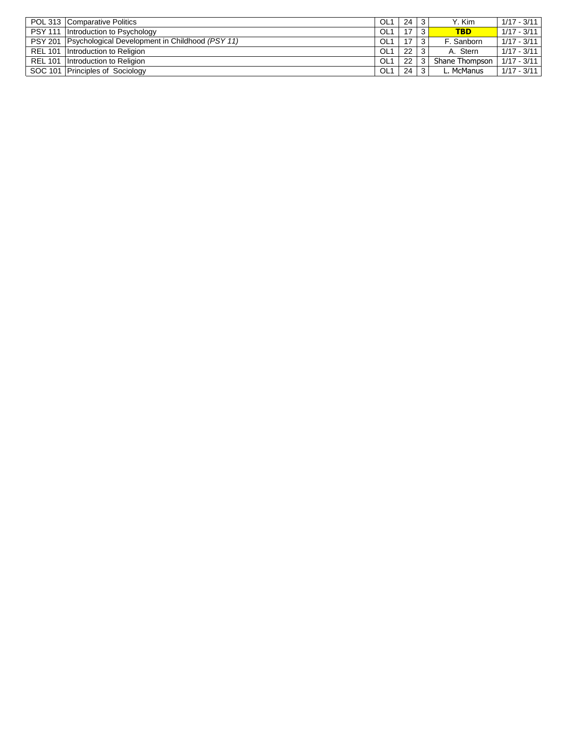|                | POL 313 Comparative Politics                            | OL <sub>1</sub> | 24 |    | Y. Kim         | $1/17 - 3/11$ |
|----------------|---------------------------------------------------------|-----------------|----|----|----------------|---------------|
|                | PSY 111 Introduction to Psychology                      | OL <sub>1</sub> | 17 | 3. | <b>TBD</b>     | $1/17 - 3/11$ |
|                | PSY 201 Psychological Development in Childhood (PSY 11) | OL <sub>1</sub> | 17 |    | F. Sanborn     | $1/17 - 3/11$ |
| <b>REL 101</b> | Introduction to Religion                                | OL <sub>1</sub> | 22 |    | A. Stern       | $1/17 - 3/11$ |
| <b>REL 101</b> | Introduction to Religion                                | OL <sub>1</sub> | 22 |    | Shane Thompson | $1/17 - 3/11$ |
|                | SOC 101 Principles of Sociology                         | OL <sub>1</sub> | 24 |    | L. McManus     | $1/17 - 3/11$ |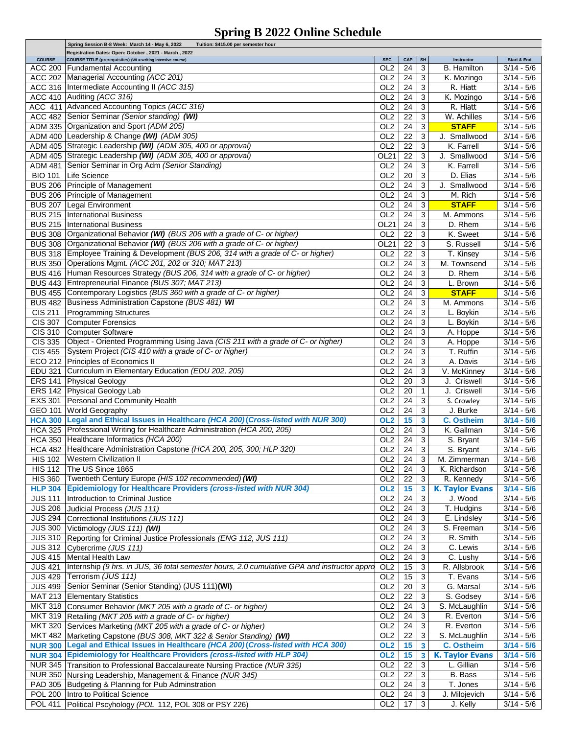## **Spring B 2022 Online Schedule**

|                | Spring Session B-8 Week: March 14 - May 6, 2022<br>Tuition: \$415.00 per semester hour      |                 |                   |              |                        |                     |
|----------------|---------------------------------------------------------------------------------------------|-----------------|-------------------|--------------|------------------------|---------------------|
|                | Registration Dates: Open: October, 2021 - March, 2022                                       |                 |                   |              |                        |                     |
| <b>COURSE</b>  | COURSE TITLE (prerequisites) (WI = writing intensive course)                                | <b>SEC</b>      | CAP               | $\vert$ SH   | Instructor             | Start & End         |
|                | ACC 200 Fundamental Accounting                                                              | OL <sub>2</sub> | 24                | 3            | <b>B.</b> Hamilton     | $3/14 - 5/6$        |
|                | ACC 202 Managerial Accounting (ACC 201)                                                     | OL2             | 24                | 3            | K. Mozingo             | $3/14 - 5/6$        |
|                | ACC 316 Intermediate Accounting II (ACC 315)                                                | OL <sub>2</sub> | 24                | 3            | R. Hiatt               | $3/14 - 5/6$        |
|                | ACC 410 Auditing (ACC 316)                                                                  | OL <sub>2</sub> | 24                | 3            | K. Mozingo             | $3/14 - 5/6$        |
|                |                                                                                             |                 |                   |              |                        |                     |
|                | ACC 411 Advanced Accounting Topics (ACC 316)                                                | OL <sub>2</sub> | 24                | 3            | R. Hiatt               | $3/14 - 5/6$        |
|                | ACC 482 Senior Seminar (Senior standing) (WI)                                               | OL <sub>2</sub> | 22                | 3            | W. Achilles            | $3/14 - 5/6$        |
|                | ADM 335 Organization and Sport (ADM 205)                                                    | OL <sub>2</sub> | 24                | 3            | <b>STAFF</b>           | $3/14 - 5/6$        |
|                | ADM 400 Leadership & Change (WI) (ADM 305)                                                  | OL2             | 22                | 3            | J. Smallwood           | $3/14 - 5/6$        |
|                |                                                                                             |                 |                   |              |                        |                     |
|                | ADM 405 Strategic Leadership (WI) (ADM 305, 400 or approval)                                | OL2             | 22                | 3            | K. Farrell             | $3/14 - 5/6$        |
|                | ADM 405 Strategic Leadership (WI) (ADM 305, 400 or approval)                                | OL21            | 22                | 3            | J. Smallwood           | $3/14 - 5/6$        |
|                | ADM 481 Senior Seminar in Org Adm (Senior Standing)                                         | OL <sub>2</sub> | 24                | 3            | K. Farrell             | $3/14 - 5/6$        |
| <b>BIO 101</b> | Life Science                                                                                | OL <sub>2</sub> | 20                | 3            | D. Elias               | $3/14 - 5/6$        |
|                |                                                                                             |                 |                   |              |                        |                     |
|                | BUS 206 Principle of Management                                                             | OL <sub>2</sub> | 24                | 3            | J. Smallwood           | $3/14 - 5/6$        |
|                | BUS 206 Principle of Management                                                             | OL <sub>2</sub> | 24                | 3            | M. Rich                | $3/14 - 5/6$        |
|                | BUS 207 Legal Environment                                                                   | OL <sub>2</sub> | 24                | 3            | <b>STAFF</b>           | $3/14 - 5/6$        |
|                | BUS 215   International Business                                                            | OL <sub>2</sub> | 24                | 3            | M. Ammons              | $3/14 - 5/6$        |
|                |                                                                                             |                 |                   |              |                        |                     |
|                | <b>BUS 215  International Business</b>                                                      | <b>OL21</b>     | 24                | 3            | D. Rhem                | $3/14 - 5/6$        |
|                | BUS 308 Organizational Behavior (WI) (BUS 206 with a grade of C- or higher)                 | OL <sub>2</sub> | $\overline{22}$   | 3            | K. Sweet               | $3/14 - 5/6$        |
|                | BUS 308 Organizational Behavior (WI) (BUS 206 with a grade of C- or higher)                 | OL21            | 22                | 3            | S. Russell             | $3/14 - 5/6$        |
|                | BUS 318 Employee Training & Development (BUS 206, 314 with a grade of C- or higher)         | OL <sub>2</sub> | 22                | 3            | T. Kinsey              | $3/14 - 5/6$        |
|                |                                                                                             |                 |                   |              |                        |                     |
|                | BUS 350 Operations Mgmt. (ACC 201, 202 or 310; MAT 213)                                     | OL <sub>2</sub> | 24                | 3            | M. Townsend            | $3/14 - 5/6$        |
|                | BUS 416 Human Resources Strategy (BUS 206, 314 with a grade of C- or higher)                | OL <sub>2</sub> | 24                | 3            | D. Rhem                | $3/14 - 5/6$        |
|                | BUS 443 Entrepreneurial Finance (BUS 307; MAT 213)                                          | OL <sub>2</sub> | 24                | 3            | L. Brown               | $3/14 - 5/6$        |
|                | BUS 455 Contemporary Logistics (BUS 360 with a grade of C- or higher)                       | OL <sub>2</sub> | 24                | 3            | <b>STAFF</b>           | $3/14 - 5/6$        |
|                |                                                                                             |                 |                   |              |                        |                     |
|                | BUS 482 Business Administration Capstone (BUS 481) WI                                       | OL <sub>2</sub> | 24                | 3            | M. Ammons              | $3/14 - 5/6$        |
| <b>CIS 211</b> | <b>Programming Structures</b>                                                               | OL <sub>2</sub> | 24                | 3            | L. Boykin              | $3/14 - 5/6$        |
| <b>CIS 307</b> | Computer Forensics                                                                          | OL2             | 24                | 3            | L. Boykin              | $3/14 - 5/6$        |
|                |                                                                                             | OL <sub>2</sub> | 24                | 3            |                        |                     |
| <b>CIS 310</b> | <b>Computer Software</b>                                                                    |                 |                   |              | A. Hoppe               | $3/14 - 5/6$        |
| <b>CIS 335</b> | Object - Oriented Programming Using Java (CIS 211 with a grade of C- or higher)             | OL <sub>2</sub> | 24                | 3            | A. Hoppe               | $3/14 - 5/6$        |
| <b>CIS 455</b> | System Project (CIS 410 with a grade of C- or higher)                                       | OL <sub>2</sub> | 24                | 3            | T. Ruffin              | $3/14 - 5/6$        |
|                | ECO 212 Principles of Economics II                                                          | OL <sub>2</sub> | 24                | 3            | A. Davis               | $3/14 - 5/6$        |
| <b>EDU 321</b> | Curriculum in Elementary Education (EDU 202, 205)                                           | OL <sub>2</sub> | 24                | 3            | V. McKinney            | $3/14 - 5/6$        |
|                |                                                                                             |                 |                   |              |                        |                     |
|                | ERS 141 Physical Geology                                                                    | OL <sub>2</sub> | 20                | 3            | J. Criswell            | $3/14 - 5/6$        |
|                | ERS 142 Physical Geology Lab                                                                | OL <sub>2</sub> | 20                | $\mathbf{1}$ | J. Criswell            | $3/14 - 5/6$        |
|                | EXS 301 Personal and Community Health                                                       | OL <sub>2</sub> | 24                | 3            | S. Crowley             | $3/14 - 5/6$        |
|                |                                                                                             | OL <sub>2</sub> | 24                | 3            |                        |                     |
|                | GEO 101 World Geography                                                                     |                 |                   |              | J. Burke               | $3/14 - 5/6$        |
|                | HCA 300 Legal and Ethical Issues in Healthcare (HCA 200) (Cross-listed with NUR 300)        | OL <sub>2</sub> | 15                | 3            | <b>C. Ostheim</b>      | $3/14 - 5/6$        |
|                | HCA 325 Professional Writing for Healthcare Administration (HCA 200, 205)                   | OL <sub>2</sub> | 24                | 3            | K. Gallman             | $3/14 - 5/6$        |
|                | HCA 350 Healthcare Informatics (HCA 200)                                                    | OL <sub>2</sub> | 24                | 3            | S. Bryant              | $\sqrt{3}/14 - 5/6$ |
|                | HCA 482 Healthcare Administration Capstone (HCA 200, 205, 300; HLP 320)                     | OL <sub>2</sub> | 24                |              |                        |                     |
|                |                                                                                             |                 |                   | 3            | S. Bryant              | $3/14 - 5/6$        |
|                | HIS 102 Western Civilization II                                                             | OL2             | $24 \overline{3}$ |              | M. Zimmerman           | $3/14 - 5/6$        |
|                | HIS 112   The US Since 1865                                                                 | OL <sub>2</sub> | 24                | 3            | K. Richardson          | $\sqrt{3}/14 - 5/6$ |
| <b>HIS 360</b> | Twentieth Century Europe (HIS 102 recommended) (WI)                                         | OL <sub>2</sub> | 22                | 3            | R. Kennedy             | $3/14 - 5/6$        |
|                | HLP 304 Epidemiology for Healthcare Providers (cross-listed with NUR 304)                   | OL <sub>2</sub> |                   |              | <b>K. Taylor Evans</b> |                     |
|                |                                                                                             |                 | 15                | $\mathbf{3}$ |                        | $3/14 - 5/6$        |
| <b>JUS 111</b> | Introduction to Criminal Justice                                                            | OL <sub>2</sub> | 24                | 3            | J. Wood                | $3/14 - 5/6$        |
|                | JUS 206 Judicial Process (JUS 111)                                                          | OL <sub>2</sub> | 24                | 3            | T. Hudgins             | $3/14 - 5/6$        |
|                | JUS 294 Correctional Institutions (JUS 111)                                                 | OL <sub>2</sub> | 24                | 3            | E. Lindsley            | $3/14 - 5/6$        |
|                |                                                                                             |                 |                   |              |                        |                     |
|                | JUS 300 Victimology (JUS 111) (WI)                                                          | OL <sub>2</sub> | 24                | 3            | S. Freeman             | $3/14 - 5/6$        |
|                | JUS 310 Reporting for Criminal Justice Professionals (ENG 112, JUS 111)                     | OL <sub>2</sub> | 24                | 3            | R. Smith               | $3/14 - 5/6$        |
|                | JUS 312 Cybercrime (JUS 111)                                                                | OL <sub>2</sub> | 24                | 3            | C. Lewis               | $3/14 - 5/6$        |
|                | JUS 415 Mental Health Law                                                                   | OL2             | 24                | 3            | C. Lushy               | $3/14 - 5/6$        |
|                |                                                                                             |                 |                   |              |                        |                     |
| <b>JUS 421</b> | Internship (9 hrs. in JUS, 36 total semester hours, 2.0 cumulative GPA and instructor appro | OL <sub>2</sub> | 15                | 3            | R. Allsbrook           | $3/14 - 5/6$        |
| <b>JUS 429</b> | Terrorism (JUS 111)                                                                         | OL <sub>2</sub> | 15                | 3            | T. Evans               | $3/14 - 5/6$        |
|                | JUS 499 Senior Seminar (Senior Standing) (JUS 111)(WI)                                      | OL <sub>2</sub> | 20                | 3            | G. Marsal              | $3/14 - 5/6$        |
|                | MAT 213 Elementary Statistics                                                               | OL <sub>2</sub> | 22                | 3            | S. Godsey              | $3/14 - 5/6$        |
|                |                                                                                             |                 |                   |              |                        |                     |
|                | MKT 318 Consumer Behavior (MKT 205 with a grade of C- or higher)                            | OL <sub>2</sub> | 24                | 3            | S. McLaughlin          | $3/14 - 5/6$        |
|                | MKT 319 Retailing (MKT 205 with a grade of C- or higher)                                    | OL <sub>2</sub> | 24                | 3            | R. Everton             | $3/14 - 5/6$        |
|                | MKT 320 Services Marketing (MKT 205 with a grade of C- or higher)                           | OL <sub>2</sub> | 24                | 3            | R. Everton             | $3/14 - 5/6$        |
|                | MKT 482 Marketing Capstone (BUS 308, MKT 322 & Senior Standing) (WI)                        | OL <sub>2</sub> | 22                | 3            | S. McLaughlin          | $3/14 - 5/6$        |
|                |                                                                                             |                 |                   |              |                        |                     |
| <b>NUR 300</b> | Legal and Ethical Issues in Healthcare (HCA 200) (Cross-listed with HCA 300)                | OL <sub>2</sub> | 15                | 3            | <b>C. Ostheim</b>      | $3/14 - 5/6$        |
|                | NUR 304 Epidemiology for Healthcare Providers (cross-listed with HLP 304)                   | OL <sub>2</sub> | 15                | 3            | <b>K. Taylor Evans</b> | $3/14 - 5/6$        |
|                | NUR 345 Transition to Professional Baccalaureate Nursing Practice (NUR 335)                 | OL <sub>2</sub> | 22                | 3            | L. Gillian             | $3/14 - 5/6$        |
|                | NUR 350   Nursing Leadership, Management & Finance (NUR 345)                                | OL <sub>2</sub> | 22                | 3            | B. Bass                | $3/14 - 5/6$        |
|                |                                                                                             |                 |                   |              |                        |                     |
|                | PAD 305 Budgeting & Planning for Pub Adminstration                                          | OL <sub>2</sub> | 24                | 3            | T. Jones               | $3/14 - 5/6$        |
|                | POL 200   Intro to Political Science                                                        | OL <sub>2</sub> | 24                | $\mathsf 3$  | J. Milojevich          | $3/14 - 5/6$        |
|                | POL 411 Political Pscyhology (POL 112, POL 308 or PSY 226)                                  | OL <sub>2</sub> | 17                | $\mathbf{3}$ | J. Kelly               | $3/14 - 5/6$        |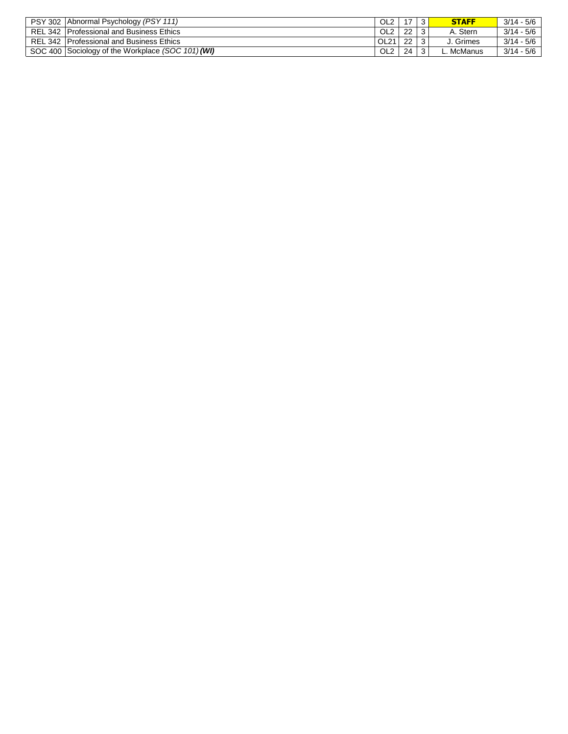| <b>PSY 302</b> | Abnormal Psychology (PSY 111)                     | OL <sub>2</sub>  | 17         | ີ  | <b>STAFF</b> | $3/14 - 5/6$ |
|----------------|---------------------------------------------------|------------------|------------|----|--------------|--------------|
|                | REL 342 Professional and Business Ethics          | OL <sub>2</sub>  | $22 \cdot$ | -3 | A. Stern     | $3/14 - 5/6$ |
|                | REL 342 Professional and Business Ethics          | OL <sub>21</sub> | 22         |    | J. Grimes    | $3/14 - 5/6$ |
|                | SOC 400 Sociology of the Workplace (SOC 101) (WI) | OL <sub>2</sub>  | 24         | -3 | L. McManus   | $3/14 - 5/6$ |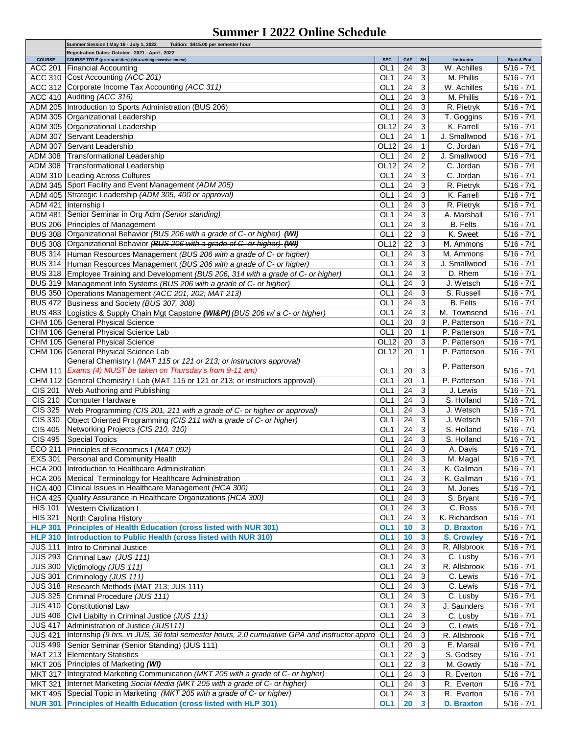## **Summer I 2022 Online Schedule**

|                                 | Summer Session I May 16 - July 1, 2022<br>Tuition: \$415.00 per semester hour                                   |                               |                  |                |                           |                                    |
|---------------------------------|-----------------------------------------------------------------------------------------------------------------|-------------------------------|------------------|----------------|---------------------------|------------------------------------|
|                                 | Registration Dates: October, 2021 - April, 2022<br>COURSE TITLE (prerequisites) (WI = writing intensive course) |                               |                  |                |                           | <b>Start &amp; End</b>             |
| <b>COURSE</b><br><b>ACC 201</b> |                                                                                                                 | <b>SEC</b><br>OL <sub>1</sub> | <b>CAP</b><br>24 | SH<br>3        | Instructor<br>W. Achilles | $5/16 - 7/1$                       |
|                                 | <b>Financial Accounting</b>                                                                                     |                               |                  |                |                           |                                    |
|                                 | ACC 310 Cost Accounting (ACC 201)                                                                               | OL1                           | 24               | 3              | M. Phillis                | $5/16 - 7/1$                       |
|                                 | ACC 312 Corporate Income Tax Accounting (ACC 311)                                                               | OL <sub>1</sub>               | 24               | 3              | W. Achilles               | $5/16 - 7/1$                       |
|                                 | ACC 410 Auditing (ACC 316)                                                                                      | OL <sub>1</sub>               | 24               | 3              | M. Phillis                | $5/16 - 7/1$                       |
|                                 | ADM 205 Introduction to Sports Administration (BUS 206)                                                         | OL <sub>1</sub>               | 24               | 3              | R. Pietryk                | $5/16 - 7/1$                       |
|                                 | ADM 305 Organizational Leadership                                                                               | OL <sub>1</sub>               | 24               | 3              | T. Goggins                | $\overline{5/16 - 7/1}$            |
|                                 | ADM 305 Organizational Leadership                                                                               | OL12                          | 24               | 3              | K. Farrell                | $5/16 - 7/1$                       |
|                                 |                                                                                                                 | OL <sub>1</sub>               | 24               | $\mathbf{1}$   | J. Smallwood              | $5/16 - 7/1$                       |
|                                 | ADM 307 Servant Leadership                                                                                      |                               |                  |                |                           |                                    |
|                                 | ADM 307 Servant Leadership                                                                                      | OL12                          | 24               | $\mathbf{1}$   | $\overline{C}$ . Jordan   | $5/16 - 7/1$                       |
|                                 | ADM 308 Transformational Leadership                                                                             | OL <sub>1</sub>               | 24               | 2              | J. Smallwood              | $5/16 - 7/1$                       |
|                                 | ADM 308 Transformational Leadership                                                                             | OL12                          | 24               | $\overline{c}$ | C. Jordan                 | $5/16 - 7/1$                       |
|                                 | ADM 310 Leading Across Cultures                                                                                 | OL <sub>1</sub>               | 24               | 3              | C. Jordan                 | $5/16 - 7/1$                       |
|                                 | ADM 345 Sport Facility and Event Management (ADM 205)                                                           | OL <sub>1</sub>               | 24               | 3              | R. Pietryk                | $5/16 - 7/1$                       |
|                                 | ADM 405 Strategic Leadership (ADM 305, 400 or approval)                                                         | OL <sub>1</sub>               | 24               | 3              | K. Farrell                | $5/16 - 7/1$                       |
|                                 |                                                                                                                 |                               |                  |                |                           |                                    |
|                                 | ADM 421 Internship I                                                                                            | OL <sub>1</sub>               | 24               | 3              | R. Pietryk                | $5/16 - 7/1$                       |
|                                 | ADM 481 Senior Seminar in Org Adm (Senior standing)                                                             | OL <sub>1</sub>               | 24               | 3              | A. Marshall               | $5/16 - 7/1$                       |
|                                 | BUS 206 Principles of Management                                                                                | OL <sub>1</sub>               | 24               | 3              | <b>B.</b> Felts           | $5/16 - 7/1$                       |
|                                 | BUS 308 Organizational Behavior (BUS 206 with a grade of C- or higher) (WI)                                     | OL <sub>1</sub>               | 22               | 3              | K. Sweet                  | $5/16 - 7/1$                       |
|                                 | BUS 308 Organizational Behavior (BUS 206 with a grade of C- or higher) (WI)                                     | OL12                          | 22               | 3              | M. Ammons                 | $5/16 - 7/1$                       |
|                                 | BUS 314 Human Resources Management (BUS 206 with a grade of C- or higher)                                       | OL <sub>1</sub>               | 24               | 3              | M. Ammons                 | $5/16 - 7/1$                       |
|                                 |                                                                                                                 |                               |                  |                |                           |                                    |
|                                 | BUS 314 Human Resources Management (BUS 206 with a grade of C- or higher)                                       | OL1                           | 24               | 3              | J. Smallwood              | $5/16 - 7/1$                       |
|                                 | BUS 318 Employee Training and Development (BUS 206, 314 with a grade of C- or higher)                           | OL <sub>1</sub>               | 24               | 3              | D. Rhem                   | $5/16 - 7/1$                       |
|                                 | BUS 319 Management Info Systems (BUS 206 with a grade of C- or higher)                                          | OL1                           | 24               | 3              | J. Wetsch                 | $5/16 - 7/1$                       |
|                                 | BUS 350 Operations Management (ACC 201, 202; MAT 213)                                                           | OL <sub>1</sub>               | 24               | 3              | S. Russell                | $5/16 - 7/1$                       |
|                                 | BUS 472 Business and Society (BUS 307, 308)                                                                     | OL <sub>1</sub>               | 24               | 3              | <b>B.</b> Felts           | $5/16 - 7/1$                       |
|                                 | BUS 483 Logistics & Supply Chain Mgt Capstone (WI&PI) (BUS 206 w/ a C- or higher)                               | OL <sub>1</sub>               | 24               | 3              | M. Townsend               | $5/16 - 7/1$                       |
|                                 |                                                                                                                 |                               |                  |                |                           | $5/16 - 7/1$                       |
|                                 | CHM 105 General Physical Science                                                                                | OL <sub>1</sub>               | 20               | 3              | P. Patterson              |                                    |
|                                 | CHM 106 General Physical Science Lab                                                                            | OL <sub>1</sub>               | 20               | 1              | P. Patterson              | $5/16 - 7/1$                       |
|                                 | CHM 105 General Physical Science                                                                                | OL12                          | 20               | 3              | P. Patterson              | $5/16 - 7/1$                       |
|                                 | CHM 106 General Physical Science Lab                                                                            | OL <sub>12</sub>              | 20               | 1              | P. Patterson              | $5/16 - 7/1$                       |
|                                 | General Chemistry I (MAT 115 or 121 or 213; or instructors approval)                                            |                               |                  |                |                           |                                    |
| CHM 111                         | Exams (4) MUST be taken on Thursday's from 9-11 am)                                                             | OL1                           | 20               | 3              | P. Patterson              | $5/16 - 7/1$                       |
|                                 | CHM 112 General Chemistry I Lab (MAT 115 or 121 or 213; or instructors approval)                                | OL <sub>1</sub>               | 20               | $\mathbf{1}$   | P. Patterson              | $5/16 - 7/1$                       |
|                                 |                                                                                                                 |                               |                  |                |                           |                                    |
| <b>CIS 201</b>                  | Web Authoring and Publishing                                                                                    | OL <sub>1</sub>               | 24               | 3              | J. Lewis                  | $5/16 - 7/1$                       |
| <b>CIS 210</b>                  | Computer Hardware                                                                                               | OL <sub>1</sub>               | 24               | 3              | S. Holland                | $5/16 - 7/1$                       |
| <b>CIS 325</b>                  | Web Programming (CIS 201, 211 with a grade of C- or higher or approval)                                         | OL <sub>1</sub>               | 24               | 3              | J. Wetsch                 | $5/16 - 7/1$                       |
| <b>CIS 330</b>                  | Object Oriented Programming (CIS 211 with a grade of C- or higher)                                              | OL <sub>1</sub>               | 24               | 3              | J. Wetsch                 | $5/16 - 7/1$                       |
| <b>CIS 405</b>                  | Networking Projects (CIS 210, 310)                                                                              | OL <sub>1</sub>               | 24               | 3              | S. Holland                | $5/16 - 7/1$                       |
| <b>CIS 495</b>                  | <b>Special Topics</b>                                                                                           | OL <sub>1</sub>               | 24               | 3              | S. Holland                | $5/16 - 7/1$                       |
|                                 |                                                                                                                 |                               |                  |                |                           |                                    |
|                                 | ECO 211 Principles of Economics I (MAT 092)                                                                     | OL <sub>1</sub>               | 24               | 3              | A. Davis                  | $5/16 - 7/1$                       |
|                                 | EXS 301 Personal and Community Health                                                                           | OL1                           | 24               | $\sqrt{3}$     | M. Magal                  | $5/16 - 7/1$                       |
|                                 | HCA 200 Introduction to Healthcare Administration                                                               | OL <sub>1</sub>               | 24               | 3              | K. Gallman                | $5/16 - 7/1$                       |
|                                 | HCA 205  Medical Terminology for Healthcare Administration                                                      | OL1                           | 24               | 3              | K. Gallman                | $\overline{5/16}$ - $7/1$          |
|                                 | HCA 400 Clinical Issues in Healthcare Management (HCA 300)                                                      | OL <sub>1</sub>               | 24               | 3              | M. Jones                  | $5/16 - 7/1$                       |
|                                 | HCA 425 Quality Assurance in Healthcare Organizations (HCA 300)                                                 | OL <sub>1</sub>               | 24               | 3              | S. Bryant                 | $\overline{5/16} - \frac{7}{1}$    |
|                                 |                                                                                                                 |                               |                  |                |                           |                                    |
| <b>HIS 101</b>                  | <b>Western Civilization I</b>                                                                                   | OL <sub>1</sub>               | 24               | 3              | C. Ross                   | $5/16 - 7/1$                       |
| <b>HIS 321</b>                  | North Carolina History                                                                                          | OL <sub>1</sub>               | 24               | 3              | K. Richardson             | $5/16 - 7/1$                       |
| <b>HLP 301</b>                  | <b>Principles of Health Education (cross listed with NUR 301)</b>                                               | OL1                           | 10               | 3              | <b>D. Braxton</b>         | $\overline{5/16} - \overline{7}/1$ |
|                                 | HLP 310 Introduction to Public Health (cross listed with NUR 310)                                               | OL <sub>1</sub>               | 10               | 3              | <b>S. Crowley</b>         | $5/16 - 7/1$                       |
| <b>JUS 111</b>                  | Intro to Criminal Justice                                                                                       | OL1                           | 24               | 3              | R. Allsbrook              | $5/16 - 7/1$                       |
|                                 | JUS 293 Criminal Law (JUS 111)                                                                                  | OL <sub>1</sub>               | 24               | 3              | C. Lusby                  | $5/16 - 7/1$                       |
|                                 | JUS 300 Victimology (JUS 111)                                                                                   | OL1                           | 24               | 3              | R. Allsbrook              | $5/16 - 7/1$                       |
|                                 |                                                                                                                 |                               |                  |                |                           |                                    |
| <b>JUS 301</b>                  | Criminology (JUS 111)                                                                                           | OL <sub>1</sub>               | 24               | 3              | C. Lewis                  | $5/16 - 7/1$                       |
|                                 | JUS 318 Research Methods (MAT 213; JUS 111)                                                                     | OL <sub>1</sub>               | 24               | 3              | C. Lewis                  | $5/16 - 7/1$                       |
|                                 | JUS 325 Criminal Procedure (JUS 111)                                                                            | OL <sub>1</sub>               | 24               | 3              | C. Lusby                  | $5/16 - 7/1$                       |
|                                 | JUS 410 Constitutional Law                                                                                      | OL <sub>1</sub>               | 24               | 3              | J. Saunders               | $5/16 - 7/1$                       |
|                                 | JUS 406 Civil Liabilty in Criminal Justice (JUS 111)                                                            | OL <sub>1</sub>               | 24               | 3              | C. Lusby                  | $5/16 - 7/1$                       |
| <b>JUS 417</b>                  |                                                                                                                 | OL <sub>1</sub>               | 24               | 3              | C. Lewis                  | $5/16 - 7/1$                       |
|                                 | Administration of Justice (JUS111)                                                                              |                               |                  |                |                           |                                    |
| <b>JUS 421</b>                  | Internship (9 hrs. in JUS, 36 total semester hours, 2.0 cumulative GPA and instructor appro                     | OL <sub>1</sub>               | 24               | 3              | R. Allsbrook              | $5/16 - 7/1$                       |
| <b>JUS 499</b>                  | Senior Seminar (Senior Standing) (JUS 111)                                                                      | OL1                           | 20               | 3              | E. Marsal                 | $5/16 - 7/1$                       |
|                                 | MAT 213 Elementary Statistics                                                                                   | OL <sub>1</sub>               | 22               | 3              | S. Godsey                 | $5/16 - 7/1$                       |
|                                 | MKT 205 Principles of Marketing (WI)                                                                            | OL <sub>1</sub>               | 22               | 3              | M. Gowdy                  | $5/16 - 7/1$                       |
|                                 | MKT 317  Integrated Marketing Communication (MKT 205 with a grade of C- or higher)                              | OL <sub>1</sub>               | 24               | 3              | R. Everton                | $5/16 - 7/1$                       |
| <b>MKT 321</b>                  | Internet Marketing Social Media (MKT 205 with a grade of C- or higher)                                          | OL <sub>1</sub>               | 24               | 3              | R. Everton                | $5/16 - 7/1$                       |
|                                 | MKT 495 Special Topic in Marketing (MKT 205 with a grade of C- or higher)                                       |                               |                  |                |                           |                                    |
|                                 |                                                                                                                 | OL1                           | 24               | 3              | R. Everton                | $5/16 - 7/1$                       |
|                                 | NUR 301 Principles of Health Education (cross listed with HLP 301)                                              | OL <sub>1</sub>               | <b>20</b>        | $\mathbf{3}$   | <b>D. Braxton</b>         | $5/16 - 7/1$                       |